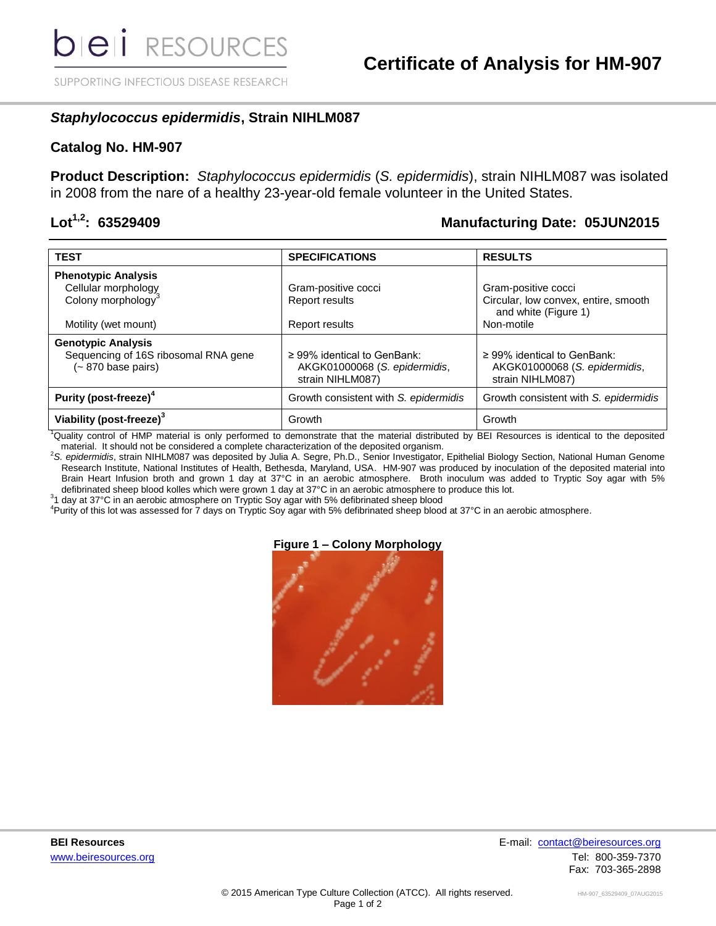SUPPORTING INFECTIOUS DISEASE RESEARCH

## *Staphylococcus epidermidis***, Strain NIHLM087**

### **Catalog No. HM-907**

**Product Description:** *Staphylococcus epidermidis* (*S. epidermidis*), strain NIHLM087 was isolated in 2008 from the nare of a healthy 23-year-old female volunteer in the United States.

## **Lot1,2: 63529409 Manufacturing Date: 05JUN2015**

| <b>TEST</b>                                                                             | <b>SPECIFICATIONS</b>                                                                 | <b>RESULTS</b>                                                                        |
|-----------------------------------------------------------------------------------------|---------------------------------------------------------------------------------------|---------------------------------------------------------------------------------------|
| <b>Phenotypic Analysis</b>                                                              |                                                                                       |                                                                                       |
| Cellular morphology                                                                     | Gram-positive cocci                                                                   | Gram-positive cocci                                                                   |
| Colony morphology <sup>3</sup>                                                          | Report results                                                                        | Circular, low convex, entire, smooth<br>and white (Figure 1)                          |
| Motility (wet mount)                                                                    | Report results                                                                        | Non-motile                                                                            |
| <b>Genotypic Analysis</b><br>Sequencing of 16S ribosomal RNA gene<br>(~ 870 base pairs) | $\geq$ 99% identical to GenBank:<br>AKGK01000068 (S. epidermidis,<br>strain NIHLM087) | $\geq$ 99% identical to GenBank:<br>AKGK01000068 (S. epidermidis,<br>strain NIHLM087) |
| Purity (post-freeze) <sup>4</sup>                                                       | Growth consistent with S. epidermidis                                                 | Growth consistent with S. epidermidis                                                 |
| Viability (post-freeze) <sup>3</sup>                                                    | Growth                                                                                | Growth                                                                                |

<sup>1</sup>Quality control of HMP material is only performed to demonstrate that the material distributed by BEI Resources is identical to the deposited material. It should not be considered a complete characterization of the deposited organism.

<sup>2</sup>*S. epidermidis*, strain NIHLM087 was deposited by Julia A. Segre, Ph.D., Senior Investigator, Epithelial Biology Section, National Human Genome Research Institute, National Institutes of Health, Bethesda, Maryland, USA. HM-907 was produced by inoculation of the deposited material into Brain Heart Infusion broth and grown 1 day at 37°C in an aerobic atmosphere. Broth inoculum was added to Tryptic Soy agar with 5% defibrinated sheep blood kolles which were grown 1 day at 37°C in an aerobic atmosphere to produce this lot.

 $31$  day at 37°C in an aerobic atmosphere on Tryptic Soy agar with 5% defibrinated sheep blood

<sup>4</sup>Purity of this lot was assessed for 7 days on Tryptic Soy agar with 5% defibrinated sheep blood at 37°C in an aerobic atmosphere.

### **Figure 1 – Colony Morphology**

**BEI Resources** E-mail: [contact@beiresources.org](mailto:contact@beiresources.org) www.beiresources.orgTel: 800-359-7370 Fax: 703-365-2898